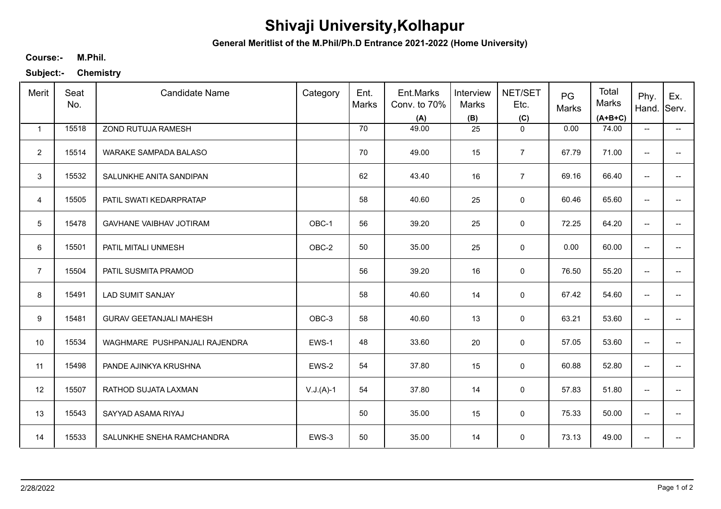## **Shivaji University,Kolhapur**

**General Meritlist of the M.Phil/Ph.D Entrance 2021-2022 (Home University)**

## **M.Phil. Course:-**

**Subject:- Chemistry**

| Merit           | Seat<br>No. | <b>Candidate Name</b>          | Category    | Ent.<br>Marks | Ent.Marks<br>Conv. to 70%<br>(A) | Interview<br>Marks<br>(B) | NET/SET<br>Etc.<br>(C) | PG<br>Marks | Total<br>Marks<br>$(A+B+C)$ | Phy.<br>Hand.            | Ex.<br>Serv.             |
|-----------------|-------------|--------------------------------|-------------|---------------|----------------------------------|---------------------------|------------------------|-------------|-----------------------------|--------------------------|--------------------------|
| $\mathbf{1}$    | 15518       | ZOND RUTUJA RAMESH             |             | 70            | 49.00                            | 25                        | $\mathbf 0$            | 0.00        | 74.00                       | $\overline{\phantom{a}}$ | $\overline{\phantom{a}}$ |
| $\overline{2}$  | 15514       | <b>WARAKE SAMPADA BALASO</b>   |             | 70            | 49.00                            | 15                        | $\overline{7}$         | 67.79       | 71.00                       | $\overline{\phantom{a}}$ |                          |
| 3               | 15532       | SALUNKHE ANITA SANDIPAN        |             | 62            | 43.40                            | 16                        | $\overline{7}$         | 69.16       | 66.40                       | $\overline{\phantom{a}}$ | --                       |
| $\overline{4}$  | 15505       | PATIL SWATI KEDARPRATAP        |             | 58            | 40.60                            | 25                        | $\mathsf 0$            | 60.46       | 65.60                       | $\overline{\phantom{a}}$ | --                       |
| $5\phantom{.0}$ | 15478       | GAVHANE VAIBHAV JOTIRAM        | OBC-1       | 56            | 39.20                            | 25                        | 0                      | 72.25       | 64.20                       | $\overline{\phantom{a}}$ | --                       |
| 6               | 15501       | PATIL MITALI UNMESH            | OBC-2       | 50            | 35.00                            | 25                        | $\mathbf 0$            | 0.00        | 60.00                       | $\overline{\phantom{a}}$ | $\overline{\phantom{a}}$ |
| $\overline{7}$  | 15504       | PATIL SUSMITA PRAMOD           |             | 56            | 39.20                            | 16                        | 0                      | 76.50       | 55.20                       | $\overline{\phantom{a}}$ | --                       |
| 8               | 15491       | <b>LAD SUMIT SANJAY</b>        |             | 58            | 40.60                            | 14                        | 0                      | 67.42       | 54.60                       | $\overline{\phantom{m}}$ | --                       |
| 9               | 15481       | <b>GURAV GEETANJALI MAHESH</b> | OBC-3       | 58            | 40.60                            | 13                        | 0                      | 63.21       | 53.60                       | $\overline{\phantom{a}}$ |                          |
| 10              | 15534       | WAGHMARE PUSHPANJALI RAJENDRA  | EWS-1       | 48            | 33.60                            | 20                        | $\mathsf 0$            | 57.05       | 53.60                       | --                       | --                       |
| 11              | 15498       | PANDE AJINKYA KRUSHNA          | EWS-2       | 54            | 37.80                            | 15                        | $\mathsf 0$            | 60.88       | 52.80                       | $\overline{\phantom{a}}$ | $\qquad \qquad -$        |
| 12              | 15507       | RATHOD SUJATA LAXMAN           | $V.J.(A)-1$ | 54            | 37.80                            | 14                        | $\mathbf 0$            | 57.83       | 51.80                       | $\overline{\phantom{m}}$ | $\overline{\phantom{a}}$ |
| 13              | 15543       | SAYYAD ASAMA RIYAJ             |             | 50            | 35.00                            | 15                        | 0                      | 75.33       | 50.00                       | $\overline{\phantom{a}}$ | $\overline{\phantom{a}}$ |
| 14              | 15533       | SALUNKHE SNEHA RAMCHANDRA      | EWS-3       | 50            | 35.00                            | 14                        | $\mathbf 0$            | 73.13       | 49.00                       | $\overline{\phantom{a}}$ | --                       |